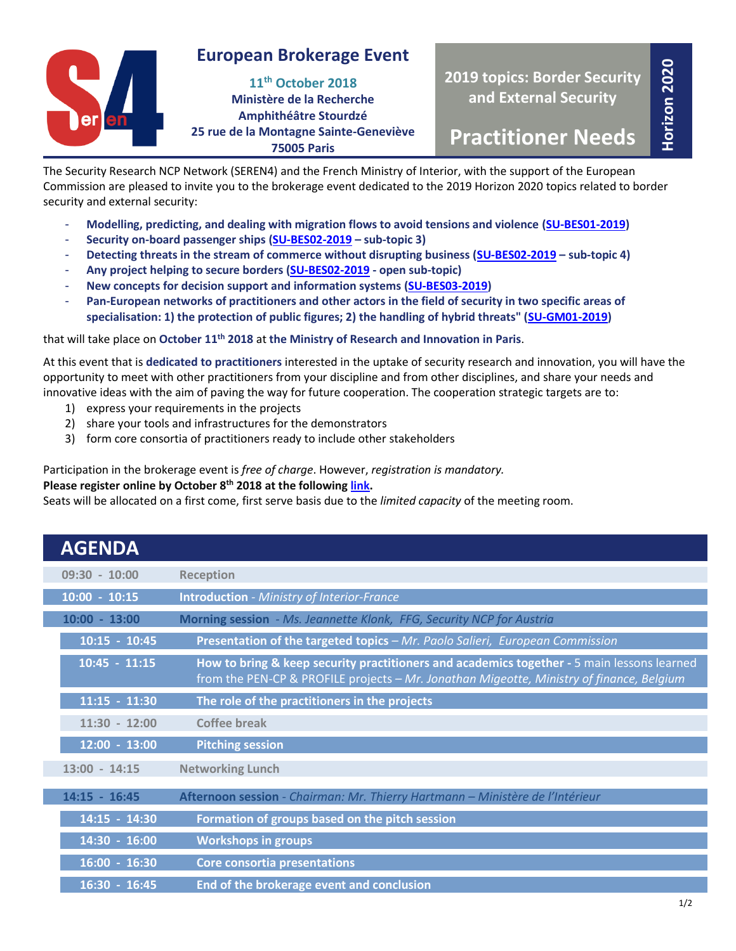

## **European Brokerage Event**

**11th October 2018 Ministère de la Recherche Amphithéâtre Stourdzé 25 rue de la Montagne Sainte-Geneviève 75005 Paris**

**2019 topics: Border Security and External Security**

**Practitioner Needs**

**Horizon 2020**

The Security Research NCP Network (SEREN4) and the French Ministry of Interior, with the support of the European Commission are pleased to invite you to the brokerage event dedicated to the 2019 Horizon 2020 topics related to border security and external security:

- **Modelling, predicting, and dealing with migration flows to avoid tensions and violence [\(SU-BES01-2019\)](https://ec.europa.eu/research/participants/portal/desktop/en/opportunities/h2020/topics/su-bes01-2018-2019-2020.html)**
- **Security on-board passenger ships [\(SU-BES02-2019](https://ec.europa.eu/research/participants/portal/desktop/en/opportunities/h2020/topics/su-bes02-2018-2019-2020.html) – sub-topic 3)**
- **Detecting threats in the stream of commerce without disrupting business [\(SU-BES02-2019](https://ec.europa.eu/research/participants/portal/desktop/en/opportunities/h2020/topics/su-bes02-2018-2019-2020.html) – sub-topic 4)**
- **Any project helping to secure borders [\(SU-BES02-2019](https://ec.europa.eu/research/participants/portal/desktop/en/opportunities/h2020/topics/su-bes02-2018-2019-2020.html) - open sub-topic)**
- **New concepts for decision support and information systems [\(SU-BES03-2019\)](https://ec.europa.eu/research/participants/portal/desktop/en/opportunities/h2020/topics/su-bes03-2018-2019-2020.html)**
- **Pan-European networks of practitioners and other actors in the field of security in two specific areas of specialisation: 1) the protection of public figures; 2) the handling of hybrid threats" [\(SU-GM01-2019\)](https://ec.europa.eu/research/participants/portal/desktop/en/opportunities/h2020/topics/su-gm01-2018-2019-2020.html)**

that will take place on **October 11 th 2018** at **the Ministry of Research and Innovation in Paris**.

At this event that is **dedicated to practitioners** interested in the uptake of security research and innovation, you will have the opportunity to meet with other practitioners from your discipline and from other disciplines, and share your needs and innovative ideas with the aim of paving the way for future cooperation. The cooperation strategic targets are to:

- 1) express your requirements in the projects
- 2) share your tools and infrastructures for the demonstrators
- 3) form core consortia of practitioners ready to include other stakeholders

Participation in the brokerage event is *free of charge*. However, *registration is mandatory.*

#### **Please register online by October 8 th 2018 at the followin[g link.](http://www.horizon2020.gouv.fr/cid130821/registration-european-brokerage-event-bes-2019-11th-october-2018.html)**

Seats will be allocated on a first come, first serve basis due to the *limited capacity* of the meeting room.

| <b>AGENDA</b>   |                                                                                                                                                                                        |
|-----------------|----------------------------------------------------------------------------------------------------------------------------------------------------------------------------------------|
| $09:30 - 10:00$ | <b>Reception</b>                                                                                                                                                                       |
| $10:00 - 10:15$ | <b>Introduction</b> - Ministry of Interior-France                                                                                                                                      |
| $10:00 - 13:00$ | Morning session - Ms. Jeannette Klonk, FFG, Security NCP for Austria                                                                                                                   |
| $10:15 - 10:45$ | Presentation of the targeted topics - Mr. Paolo Salieri, European Commission                                                                                                           |
| $10:45 - 11:15$ | How to bring & keep security practitioners and academics together - 5 main lessons learned<br>from the PEN-CP & PROFILE projects - Mr. Jonathan Migeotte, Ministry of finance, Belgium |
| $11:15 - 11:30$ | The role of the practitioners in the projects                                                                                                                                          |
| $11:30 - 12:00$ | Coffee break                                                                                                                                                                           |
| 12:00 - 13:00   | <b>Pitching session</b>                                                                                                                                                                |
| $13:00 - 14:15$ | <b>Networking Lunch</b>                                                                                                                                                                |
| $14:15 - 16:45$ | Afternoon session - Chairman: Mr. Thierry Hartmann - Ministère de l'Intérieur                                                                                                          |
| 14:15 - 14:30   | Formation of groups based on the pitch session                                                                                                                                         |
| 14:30 - 16:00   | <b>Workshops in groups</b>                                                                                                                                                             |
| $16:00 - 16:30$ | <b>Core consortia presentations</b>                                                                                                                                                    |
| $16:30 - 16:45$ | End of the brokerage event and conclusion                                                                                                                                              |